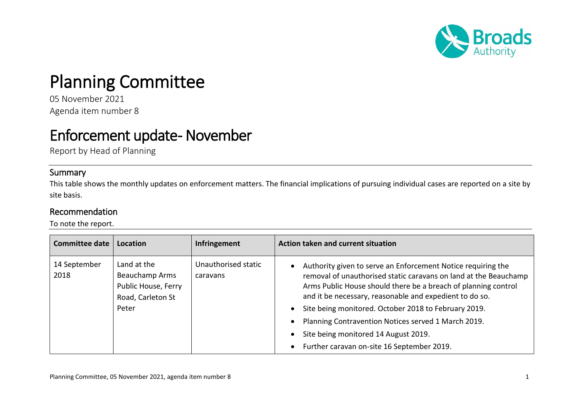

## Planning Committee

05 November 2021 Agenda item number 8

## Enforcement update-November

Report by Head of Planning

## **Summary**

This table shows the monthly updates on enforcement matters. The financial implications of pursuing individual cases are reported on a site by site basis.

## Recommendation

To note the report.

| Committee date       | Location                                                                           | Infringement                    | Action taken and current situation                                                                                                                                                                                                                                                                                                                                                                                                                                                                                                  |
|----------------------|------------------------------------------------------------------------------------|---------------------------------|-------------------------------------------------------------------------------------------------------------------------------------------------------------------------------------------------------------------------------------------------------------------------------------------------------------------------------------------------------------------------------------------------------------------------------------------------------------------------------------------------------------------------------------|
| 14 September<br>2018 | Land at the<br>Beauchamp Arms<br>Public House, Ferry<br>Road, Carleton St<br>Peter | Unauthorised static<br>caravans | Authority given to serve an Enforcement Notice requiring the<br>$\bullet$<br>removal of unauthorised static caravans on land at the Beauchamp<br>Arms Public House should there be a breach of planning control<br>and it be necessary, reasonable and expedient to do so.<br>Site being monitored. October 2018 to February 2019.<br>$\bullet$<br>Planning Contravention Notices served 1 March 2019.<br>$\bullet$<br>Site being monitored 14 August 2019.<br>$\bullet$<br>Further caravan on-site 16 September 2019.<br>$\bullet$ |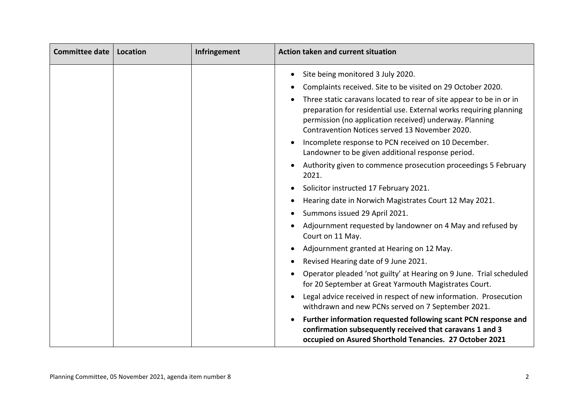| <b>Committee date</b> | <b>Location</b> | Infringement | Action taken and current situation                                                                                                                                                                                                                                  |
|-----------------------|-----------------|--------------|---------------------------------------------------------------------------------------------------------------------------------------------------------------------------------------------------------------------------------------------------------------------|
|                       |                 |              | Site being monitored 3 July 2020.<br>Complaints received. Site to be visited on 29 October 2020.<br>$\bullet$                                                                                                                                                       |
|                       |                 |              | Three static caravans located to rear of site appear to be in or in<br>$\bullet$<br>preparation for residential use. External works requiring planning<br>permission (no application received) underway. Planning<br>Contravention Notices served 13 November 2020. |
|                       |                 |              | Incomplete response to PCN received on 10 December.<br>Landowner to be given additional response period.                                                                                                                                                            |
|                       |                 |              | Authority given to commence prosecution proceedings 5 February<br>$\bullet$<br>2021.                                                                                                                                                                                |
|                       |                 |              | Solicitor instructed 17 February 2021.<br>$\bullet$                                                                                                                                                                                                                 |
|                       |                 |              | Hearing date in Norwich Magistrates Court 12 May 2021.                                                                                                                                                                                                              |
|                       |                 |              | Summons issued 29 April 2021.                                                                                                                                                                                                                                       |
|                       |                 |              | Adjournment requested by landowner on 4 May and refused by<br>Court on 11 May.                                                                                                                                                                                      |
|                       |                 |              | Adjournment granted at Hearing on 12 May.<br>$\bullet$                                                                                                                                                                                                              |
|                       |                 |              | Revised Hearing date of 9 June 2021.<br>$\bullet$                                                                                                                                                                                                                   |
|                       |                 |              | Operator pleaded 'not guilty' at Hearing on 9 June. Trial scheduled<br>for 20 September at Great Yarmouth Magistrates Court.                                                                                                                                        |
|                       |                 |              | Legal advice received in respect of new information. Prosecution<br>withdrawn and new PCNs served on 7 September 2021.                                                                                                                                              |
|                       |                 |              | Further information requested following scant PCN response and<br>$\bullet$<br>confirmation subsequently received that caravans 1 and 3<br>occupied on Asured Shorthold Tenancies. 27 October 2021                                                                  |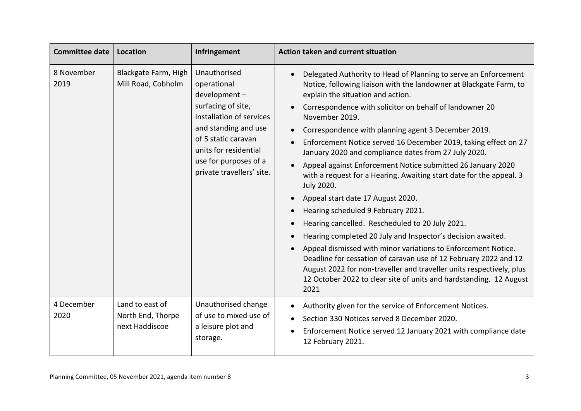| Committee date     | Location                                               | Infringement                                                                                                                                                                                                                | Action taken and current situation                                                                                                                                                                                                                                                                                                                                                                                                                                                                                                                                                                                                                                                                                                                                                                                                                                                                                                                                                                                                                                                                                                               |
|--------------------|--------------------------------------------------------|-----------------------------------------------------------------------------------------------------------------------------------------------------------------------------------------------------------------------------|--------------------------------------------------------------------------------------------------------------------------------------------------------------------------------------------------------------------------------------------------------------------------------------------------------------------------------------------------------------------------------------------------------------------------------------------------------------------------------------------------------------------------------------------------------------------------------------------------------------------------------------------------------------------------------------------------------------------------------------------------------------------------------------------------------------------------------------------------------------------------------------------------------------------------------------------------------------------------------------------------------------------------------------------------------------------------------------------------------------------------------------------------|
| 8 November<br>2019 | Blackgate Farm, High<br>Mill Road, Cobholm             | Unauthorised<br>operational<br>development-<br>surfacing of site,<br>installation of services<br>and standing and use<br>of 5 static caravan<br>units for residential<br>use for purposes of a<br>private travellers' site. | Delegated Authority to Head of Planning to serve an Enforcement<br>Notice, following liaison with the landowner at Blackgate Farm, to<br>explain the situation and action.<br>Correspondence with solicitor on behalf of landowner 20<br>November 2019.<br>Correspondence with planning agent 3 December 2019.<br>Enforcement Notice served 16 December 2019, taking effect on 27<br>January 2020 and compliance dates from 27 July 2020.<br>Appeal against Enforcement Notice submitted 26 January 2020<br>with a request for a Hearing. Awaiting start date for the appeal. 3<br><b>July 2020.</b><br>Appeal start date 17 August 2020.<br>$\bullet$<br>Hearing scheduled 9 February 2021.<br>$\bullet$<br>Hearing cancelled. Rescheduled to 20 July 2021.<br>$\bullet$<br>Hearing completed 20 July and Inspector's decision awaited.<br>$\bullet$<br>Appeal dismissed with minor variations to Enforcement Notice.<br>Deadline for cessation of caravan use of 12 February 2022 and 12<br>August 2022 for non-traveller and traveller units respectively, plus<br>12 October 2022 to clear site of units and hardstanding. 12 August<br>2021 |
| 4 December<br>2020 | Land to east of<br>North End, Thorpe<br>next Haddiscoe | Unauthorised change<br>of use to mixed use of<br>a leisure plot and<br>storage.                                                                                                                                             | Authority given for the service of Enforcement Notices.<br>$\bullet$<br>Section 330 Notices served 8 December 2020.<br>Enforcement Notice served 12 January 2021 with compliance date<br>12 February 2021.                                                                                                                                                                                                                                                                                                                                                                                                                                                                                                                                                                                                                                                                                                                                                                                                                                                                                                                                       |